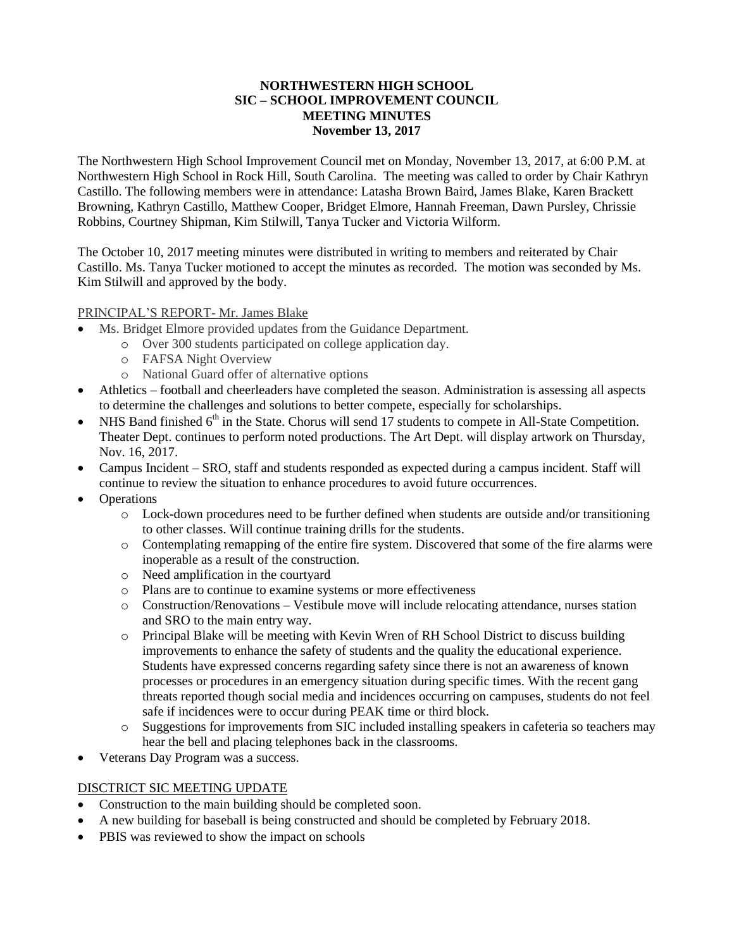### **NORTHWESTERN HIGH SCHOOL SIC – SCHOOL IMPROVEMENT COUNCIL MEETING MINUTES November 13, 2017**

The Northwestern High School Improvement Council met on Monday, November 13, 2017, at 6:00 P.M. at Northwestern High School in Rock Hill, South Carolina. The meeting was called to order by Chair Kathryn Castillo. The following members were in attendance: Latasha Brown Baird, James Blake, Karen Brackett Browning, Kathryn Castillo, Matthew Cooper, Bridget Elmore, Hannah Freeman, Dawn Pursley, Chrissie Robbins, Courtney Shipman, Kim Stilwill, Tanya Tucker and Victoria Wilform.

The October 10, 2017 meeting minutes were distributed in writing to members and reiterated by Chair Castillo. Ms. Tanya Tucker motioned to accept the minutes as recorded. The motion was seconded by Ms. Kim Stilwill and approved by the body.

#### PRINCIPAL'S REPORT- Mr. James Blake

- Ms. Bridget Elmore provided updates from the Guidance Department.
	- o Over 300 students participated on college application day.
		- o FAFSA Night Overview
		- o National Guard offer of alternative options
- Athletics football and cheerleaders have completed the season. Administration is assessing all aspects to determine the challenges and solutions to better compete, especially for scholarships.
- NHS Band finished 6<sup>th</sup> in the State. Chorus will send 17 students to compete in All-State Competition. Theater Dept. continues to perform noted productions. The Art Dept. will display artwork on Thursday, Nov. 16, 2017.
- Campus Incident SRO, staff and students responded as expected during a campus incident. Staff will continue to review the situation to enhance procedures to avoid future occurrences.
- Operations
	- o Lock-down procedures need to be further defined when students are outside and/or transitioning to other classes. Will continue training drills for the students.
	- o Contemplating remapping of the entire fire system. Discovered that some of the fire alarms were inoperable as a result of the construction.
	- o Need amplification in the courtyard
	- o Plans are to continue to examine systems or more effectiveness
	- o Construction/Renovations Vestibule move will include relocating attendance, nurses station and SRO to the main entry way.
	- o Principal Blake will be meeting with Kevin Wren of RH School District to discuss building improvements to enhance the safety of students and the quality the educational experience. Students have expressed concerns regarding safety since there is not an awareness of known processes or procedures in an emergency situation during specific times. With the recent gang threats reported though social media and incidences occurring on campuses, students do not feel safe if incidences were to occur during PEAK time or third block.
	- o Suggestions for improvements from SIC included installing speakers in cafeteria so teachers may hear the bell and placing telephones back in the classrooms.
- Veterans Day Program was a success.

#### DISCTRICT SIC MEETING UPDATE

- Construction to the main building should be completed soon.
- A new building for baseball is being constructed and should be completed by February 2018.
- PBIS was reviewed to show the impact on schools